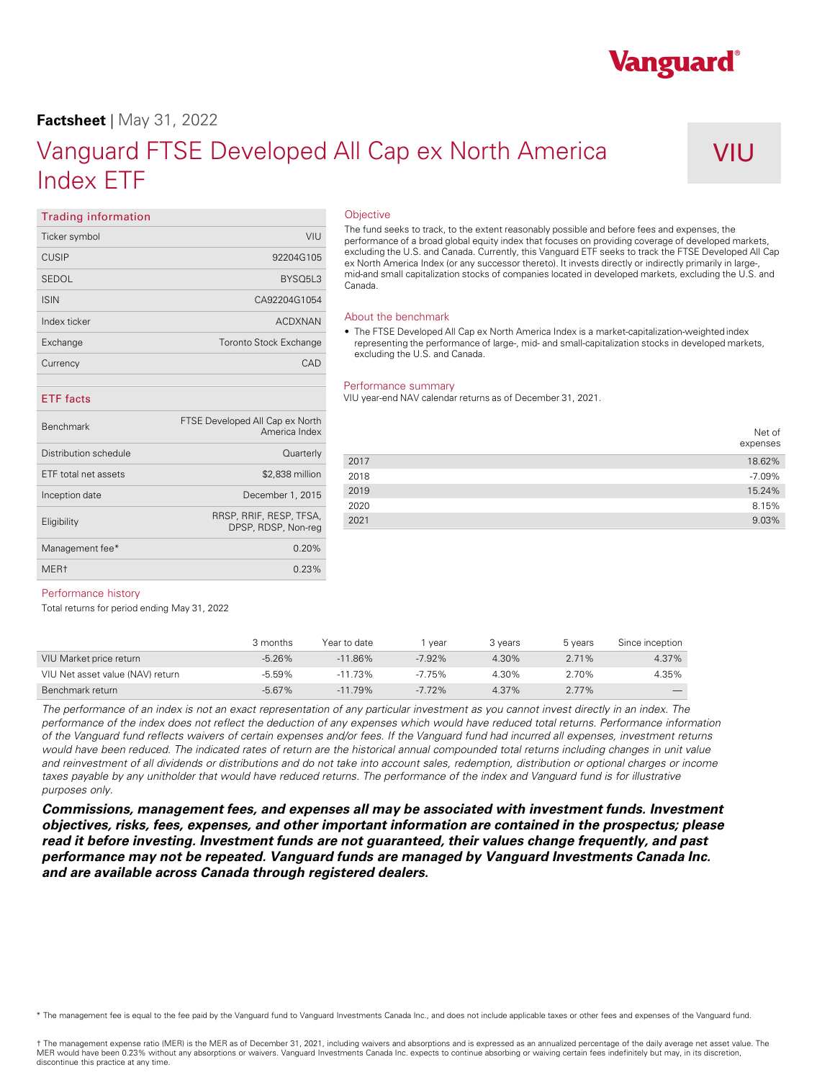### **Factsheet** | May 31, 2022

# Vanguard FTSE Developed All Cap ex North America Index ETF

## VIU

Vanguard®

### **Trading information**

| Ticker symbol | VIU                              |
|---------------|----------------------------------|
| <b>CUSIP</b>  | 92204G105                        |
| SEDOL         | BYSO <sub>5</sub> L <sub>3</sub> |
| <b>ISIN</b>   | CA92204G1054                     |
| Index ticker  | <b>ACDXNAN</b>                   |
| Exchange      | <b>Toronto Stock Exchange</b>    |
| Currency      | CAD                              |
|               |                                  |

### **Objective**

The fund seeks to track, to the extent reasonably possible and before fees and expenses, the performance of a broad global equity index that focuses on providing coverage of developed markets,<br>excluding the U.S. and Canada. Currently, this Vanguard ETF seeks to track the FTSE Developed All Cap ex North America Index (or any successor thereto). It invests directly or indirectly primarily in large-, mid-and small capitalization stocks of companies located in developed markets, excluding the U.S. and Canada.

### About the benchmark

• The FTSE Developed All Cap ex North America Index is a market-capitalization-weighted index representing the performance of large-, mid- and small-capitalization stocks in developed markets, excluding the U.S. and Canada.

#### Performance summary

VIU year-end NAV calendar returns as of December 31, 2021.

|      | Net of<br>expenses |
|------|--------------------|
| 2017 | 18.62%             |
| 2018 | $-7.09%$           |
| 2019 | 15.24%             |
| 2020 | 8.15%              |
| 2021 | 9.03%              |

### **ETF facts**

| <b>Benchmark</b>      | FTSE Developed All Cap ex North<br>America Index |      |
|-----------------------|--------------------------------------------------|------|
| Distribution schedule | Quarterly                                        |      |
|                       |                                                  | 2017 |
| ETF total net assets  | \$2,838 million                                  | 2018 |
| Inception date        | December 1, 2015                                 | 2019 |
|                       |                                                  | 2020 |
| Eligibility           | RRSP, RRIF, RESP, TFSA,                          | 2021 |
|                       | DPSP, RDSP, Non-reg                              |      |
| Management fee*       | 0.20%                                            |      |
| MER <sub>t</sub>      | 0.23%                                            |      |

### Performance history

Total returns for period ending May 31, 2022

|                                  | 3 months  | Year to date | vear      | 3 vears | 5 years  | Since inception          |
|----------------------------------|-----------|--------------|-----------|---------|----------|--------------------------|
| VIU Market price return          | $-5.26\%$ | $-11.86\%$   | $-7.92\%$ | 4.30%   | $2.71\%$ | 4.37%                    |
| VIU Net asset value (NAV) return | $-5.59\%$ | .73%         | $-7.75\%$ | 4.30%   | 2.70%    | 4.35%                    |
| Benchmark return                 | $-5.67%$  | $-11.79%$    | $-7.72\%$ | 4.37%   | $2.77\%$ | $\overline{\phantom{a}}$ |

*The performance of an index is not an exact representation of any particular investment as you cannot invest directly in an index. The performance of the index does not reflect the deduction of any expenses which would have reduced total returns. Performance information of the Vanguard fund reflects waivers of certain expenses and/or fees. If the Vanguard fund had incurred all expenses, investment returns would have been reduced. The indicated rates of return are the historical annual compounded total returns including changes in unit value*  and reinvestment of all dividends or distributions and do not take into account sales, redemption, distribution or optional charges or income taxes payable by any unitholder that would have reduced returns. The performance of the index and Vanguard fund is for illustrative *purposes only.* 

*Commissions, management fees, and expenses all may be associated with investment funds. Investment objectives, risks, fees, expenses, and other important information are contained in the prospectus; please read it before investing. Investment funds are not guaranteed, their values change frequently, and past performance may not be repeated. Vanguard funds are managed by Vanguard Investments Canada Inc. and are available across Canada through registered dealers.* 

\* The management fee is equal to the fee paid by the Vanguard fund to Vanguard Investments Canada Inc., and does not include applicable taxes or other fees and expenses of the Vanguard fund.